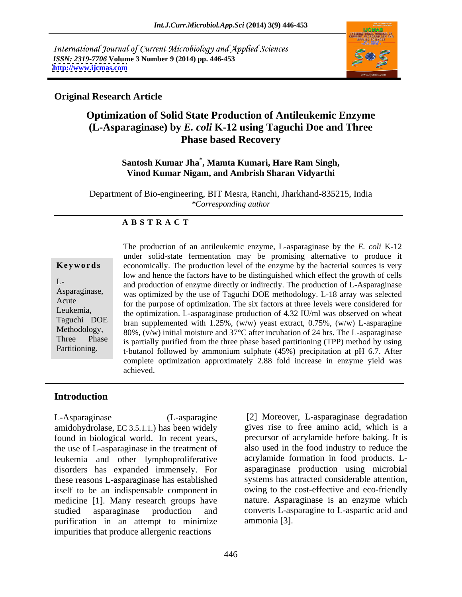International Journal of Current Microbiology and Applied Sciences *ISSN: 2319-7706* **Volume 3 Number 9 (2014) pp. 446-453 <http://www.ijcmas.com>**



### **Original Research Article**

# **Optimization of Solid State Production of Antileukemic Enzyme (L-Asparaginase) by** *E. coli* **K-12 using Taguchi Doe and Three Phase based Recovery**

### **Santosh Kumar Jha\* , Mamta Kumari, Hare Ram Singh, Vinod Kumar Nigam, and Ambrish Sharan Vidyarthi**

Department of Bio-engineering, BIT Mesra, Ranchi, Jharkhand-835215, India *\*Corresponding author* 

### **A B S T R A C T**

**Keywords** economically. The production level of the enzyme by the bacterial sources is very L-<br>and production of enzyme directly or indirectly. The production of L-Asparaginase Asparaginase, was optimized by the use of Taguchi DOE methodology. L-18 array was selected Acute for the purpose of optimization. The six factors at three levels were considered for Leukemia, the optimization. L-asparaginase production of 4.32 IU/ml was observed on wheat Taguchi DOE bran supplemented with 1.25%, (w/w) yeast extract, 0.75%, (w/w) L-asparagine Methodology, 80%,  $(v/w)$  initial moisture and 37°C after incubation of 24 hrs. The L-asparaginase Three Phase is partially purified from the three phase based partitioning (TPP) method by using Partitioning. t-butanol followed by ammonium sulphate (45%) precipitation at pH 6.7. After The production of an antileukemic enzyme, L-asparaginase by the *E. coli* K-12 under solid-state fermentation may be promising alternative to produce it low and hence the factors have to be distinguished which effect the growth of cells complete optimization approximately 2.88 fold increase in enzyme yield was achieved.

### **Introduction**

L-Asparaginase (L-asparagine [2] Moreover, L-asparaginase degradation amidohydrolase, EC 3.5.1.1.) has been widely found in biological world. In recent years, the use of L-asparaginase in the treatment of leukemia and other lymphoproliferative disorders has expanded immensely. For these reasons L-asparaginase has established itself to be an indispensable component in medicine [1]. Many research groups have<br>studied asparaginase production and studied asparaginase production and converts L-asparagine to L-aspartic acid and purification in an attempt to minimize ammonia [3]. impurities that produce allergenic reactions

gives rise to free amino acid, which is a precursor of acrylamide before baking. It is also used in the food industry to reduce the acrylamide formation in food products. L asparaginase production using microbial systems has attracted considerable attention, owing to the cost-effective and eco-friendly nature. Asparaginase is an enzyme which ammonia [3].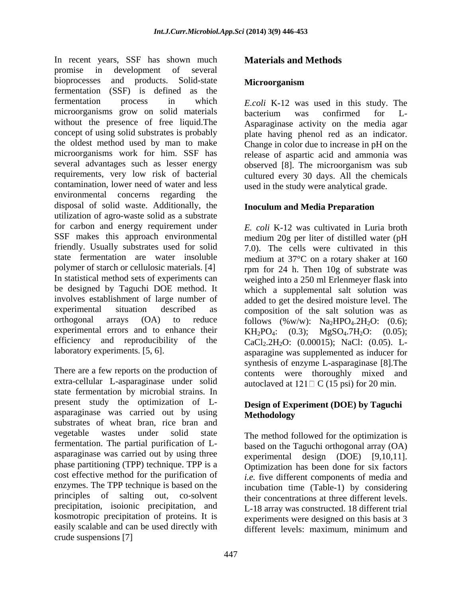In recent years, SSF has shown much promise in development of several bioprocesses and products. Solid-state **Microorganism** fermentation (SSF) is defined as the fermentation process in which *E.coli* K-12 was used in this study. The microorganisms grow on solid materials bacterium was confirmed for Lwithout the presence of free liquid.The Asparaginase activity on the media agar concept of using solid substrates is probably plate having phenol red as an indicator. the oldest method used by man to make Change in color due to increase in pH on the microorganisms work for him. SSF has several advantages such as lesser energy observed [8]. The microorganism was sub requirements, very low risk of bacterial cultured every 30 days. All the chemicals contamination, lower need of water and less environmental concerns regarding the disposal of solid waste. Additionally, the utilization of agro-waste solid as a substrate for carbon and energy requirement under SSF makes this approach environmental medium 20g per liter of distilled water (pH friendly. Usually substrates used for solid 7.0). The cells were cultivated in this state fermentation are water insoluble medium at 37°C on a rotary shaker at 160 polymer of starch or cellulosic materials. [4] rpm for 24 h. Then 10g of substrate was In statistical method sets of experiments can weighed into a 250 ml Erlenmeyer flask into be designed by Taguchi DOE method. It which a supplemental salt solution was involves establishment of large number of added to get the desired moisture level. The experimental situation described as composition of the salt solution was as orthogonal arrays  $(OA)$  to reduce follows  $(\%w/w)$ :  $Na<sub>2</sub>HPO<sub>4</sub>.2H<sub>2</sub>O$ :  $(0.6)$ ; experimental errors and to enhance their  $KH_2PO_4$ : efficiency and reproducibility of the  $CaCl<sub>2</sub> 2H<sub>2</sub>O$ : (0.00015); NaCl: (0.05). L-

There are a few reports on the production of extra-cellular L-asparaginase under solid state fermentation by microbial strains. In present study the optimization of L asparaginase was carried out by using Methodology substrates of wheat bran, rice bran and vegetable wastes under solid state The method followed for the optimization is fermentation. The partial purification of L asparaginase was carried out by using three phase partitioning (TPP) technique. TPP is a cost effective method for the purification of enzymes. The TPP technique is based on the principles of salting out, co-solvent their concentrations at three different levels. precipitation, isoionic precipitation, and kosmotropic precipitation of proteins. It is easily scalable and can be used directly with different levels: maximum, minimum and crude suspensions [7]

# **Materials and Methods**

### **Microorganism**

bacterium was confirmed for L release of aspartic acid and ammonia was used in the study were analytical grade.

### **Inoculum and Media Preparation**

laboratory experiments. [5, 6]. asparagine was supplemented as inducer for *E. coli* K-12 was cultivated in Luria broth  $(0.3);$  MgSO<sub>4</sub>.7H<sub>2</sub>O:  $(0.05);$ synthesis of enzyme L-asparaginase [8].The contents were thoroughly mixed and autoclaved at  $121 \square C$  (15 psi) for 20 min.

### **Design of Experiment (DOE) by Taguchi Methodology**

based on the Taguchi orthogonal array (OA) experimental design (DOE) [9,10,11]. Optimization has been done for six factors *i.e.* five different components of media and incubation time (Table-1) by considering L-18 array was constructed. 18 different trial experiments were designed on this basis at 3 different levels: maximum, minimum and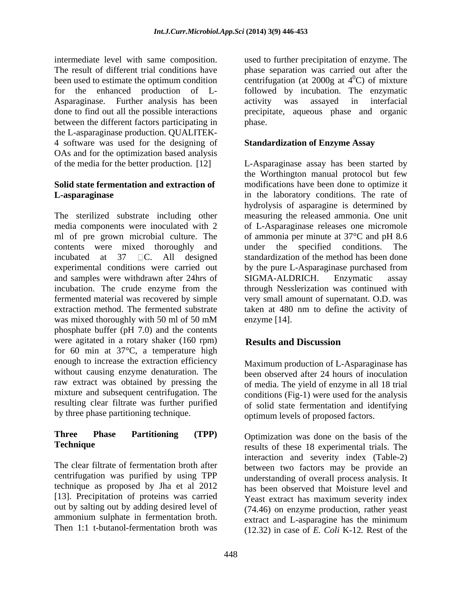Asparaginase. Further analysis has been activity was assayed in interfacial between the different factors participating in phase. the L-asparaginase production. QUALITEK- 4 software was used for the designing of OAs and for the optimization based analysis

# **Solid state fermentation and extraction of**

The sterilized substrate including other measuring the released ammonia. One unit media components were inoculated with 2 of L-Asparaginase releases one micromole ml of pre grown microbial culture. The of ammonia per minute at 37°C and pH 8.6 contents were mixed thoroughly and under the specified conditions. The incubated at 37 C. All designed standardization of the method has been done experimental conditions were carried out by the pure L-Asparaginase purchased from and samples were withdrawn after 24hrs of SIGMA-ALDRICH. Enzymatic assay incubation. The crude enzyme from the fermented material was recovered by simple very small amount of supernatant. O.D. was extraction method. The fermented substrate taken at 480 nm to define the activity of was mixed thoroughly with 50 ml of 50 mM enzyme [14]. phosphate buffer (pH 7.0) and the contents were agitated in a rotary shaker (160 rpm) Results and Discussion for 60 min at 37°C, a temperature high enough to increase the extraction efficiency without causing enzyme denaturation. The been observed after 24 hours of inoculation raw extract was obtained by pressing the mixture and subsequent centrifugation. The resulting clear filtrate was further purified by three phase partitioning technique.

# **Three Phase Partitioning (TPP)** Optimization was done on the basis of the

centrifugation was purified by using TPP technique as proposed by Jha et al 2012 [13]. Precipitation of proteins was carried Yeast extract has maximum severity index out by salting out by adding desired level of ammonium sulphate in fermentation broth.<br>
Then 1:1 t-butanol-fermentation broth was  $(12.32)$  in 2009 of  $E_{col}$ ;  $E_{col}$ ;  $V_{12}$ ,  $R_{13}$ ,  $R_{14}$ 

intermediate level with same composition. Used to further precipitation of enzyme. The result of different trial conditions have bhase separation was carried out after the been used to estimate the optimum condition  $\qquad$  centrifugation (at 2000g at 4<sup>0</sup>C) of mixture for the enhanced production of L- followed by incubation. The enzymatic done to find out all the possible interactions precipitate, aqueous phase and organic used to further precipitation of enzyme. The phase separation was carried out after the  $^{0}$ C) of mixture activity was assayed in interfacial phase.

## **Standardization of Enzyme Assay**

of the media for the better production. [12] L-Asparaginase assay has been started by **L-asparaginase** in the laboratory conditions. The rate of the Worthington manual protocol but few modifications have been done to optimize it hydrolysis of asparagine is determined by under the specified conditions. The SIGMA-ALDRICH. Enzymatic assay through Nesslerization was continued with enzyme [14].

# **Results and Discussion**

Maximum production of L-Asparaginase has of media. The yield of enzyme in all 18 trial conditions (Fig-1) were used for the analysis of solid state fermentation and identifying optimum levels of proposed factors.

**Technique** results of these 18 experimental trials. The The clear filtrate of fermentation broth after between two factors may be provide an Then 1:1 t-butanol-fermentation broth was (12.32) in case of *E. Coli* K-12*.* Rest of theinteraction and severity index (Table-2) understanding of overall process analysis. It has been observed that Moisture level and Yeast extract has maximum severity index (74.46) on enzyme production, rather yeast extract and L-asparagine has the minimum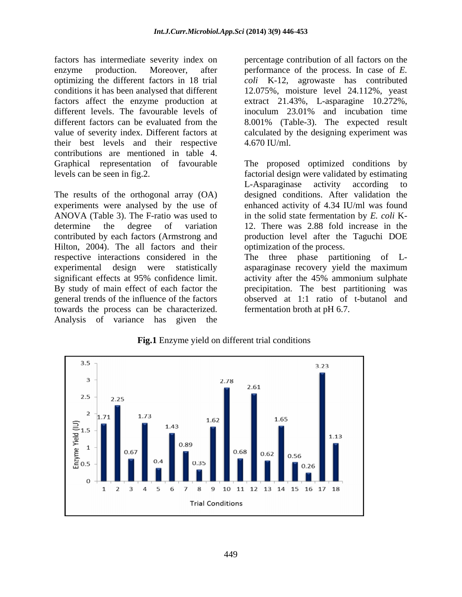factors has intermediate severity index on percentage contribution of all factors on the enzyme production. Moreover, after performance of the process. In case of *E*. optimizing the different factors in 18 trial *coli* K-12, agrowaste has contributed conditions it has been analysed that different 12.075%, moisture level 24.112%, yeast factors affect the enzyme production at extract 21.43%, L-asparagine 10.272%, different levels. The favourable levels of inoculum 23.01% and incubation time different factors can be evaluated from the 8.001% (Table-3). The expected result value of severity index. Different factors at calculated by the designing experiment was their best levels and their respective 4.670 IU/ml. contributions are mentioned in table 4. Graphical representation of favourable The proposed optimized conditions by levels can be seen in fig.2. factorial design were validated by estimating

experiments were analysed by the use of Hilton, 2004). The all factors and their optimization of the process. respective interactions considered in the The three phase partitioning of Ltowards the process can be characterized. Analysis of variance has given the

4.670 IU/ml.

The results of the orthogonal array (OA) designed conditions. After validation the ANOVA (Table 3). The F-ratio was used to in the solid state fermentation by *E. coli* K determine the degree of variation 12. There was 2.88 fold increase in the contributed by each factors (Armstrong and production level after the Taguchi DOE L-Asparaginase activity according to enhanced activity of 4.34 IU/ml was found

experimental design were statistically asparaginase recovery yield the maximum significant effects at 95% confidence limit. activity after the 45% ammonium sulphate By study of main effect of each factor the precipitation. The best partitioning was general trends of the influence of the factors observed at 1:1 ratio of t-butanol and optimization of the process.<br>The three phase partitioning of Lfermentation broth at pH 6.7.



**Fig.1** Enzyme yield on different trial conditions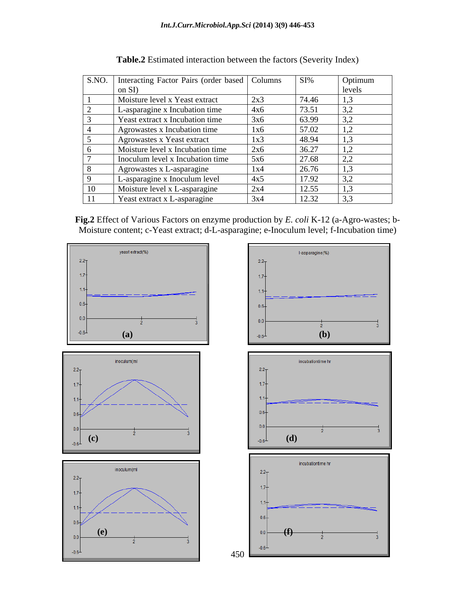| S.NO. Interacting Factor Pairs (order based   Columns<br>on SD |                              | $SI\%$         | Optimum<br>revers |
|----------------------------------------------------------------|------------------------------|----------------|-------------------|
| Moisture level x Yeast extract                                 | 2X.2                         | 74.46          |                   |
| L-asparagine x Incubation time                                 | 4x6                          | 73.51          |                   |
| Yeast extract x Incubation time                                |                              | 63.99          |                   |
| Agrowastes x Incubation time                                   |                              | 57.02          |                   |
| Agrowastes x Yeast extract                                     | $-1$ $-2$<br>$\overline{XX}$ | 48.94          |                   |
| Moisture level x Incubation time                               | $2 - C$                      | 36.27          |                   |
| Inoculum level x Incubation time                               |                              | 27.68          |                   |
| Agrowastes x L-asparagine                                      |                              | 26.76<br>20.70 |                   |
| L-asparagine x Inoculum level                                  | 4x5                          | 17.92          |                   |
| Moisture level x L-asparagine                                  | $\sim$ $\sim$                | 12.55          |                   |
| Yeast extract x L-asparagine                                   |                              | 12.32          |                   |

**Table.2** Estimated interaction between the factors (Severity Index)

**Fig.2** Effect of Various Factors on enzyme production by *E. coli* K-12 (a-Agro-wastes; b- Moisture content; c-Yeast extract; d-L-asparagine; e-Inoculum level; f-Incubation time)



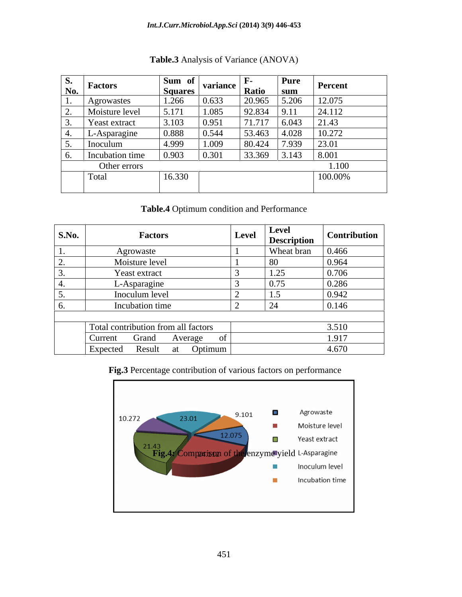#### *Int.J.Curr.Microbiol.App.Sci* **(2014) 3(9) 446-453**

|               | <b>Factors</b>       | Sum of         | variance |                       | Pure          | Percent |
|---------------|----------------------|----------------|----------|-----------------------|---------------|---------|
| <u>No. – </u> |                      | <u>Squares</u> |          | <u> Ratio</u>         |               |         |
|               | Agrowastes<br>$\sim$ | 1.266          | 0.633    | $\sqrt{20.965}$ 5.206 |               | 12.075  |
|               | Moisture level       | 5.171          | 1.085    | 92.834                | 9.11          | 24.112  |
|               | Yeast extract        | 3.103          | 0.951    | 71.717                | 6.043         | 21.43   |
|               | -Asparagine          | 0.888          | 0.544    | 53.463                | $\vert$ 4.028 | 10.272  |
|               | Inoculum             | 4.999          | 1.009    | 80.424                | 7.939         | 23.01   |
|               | Incubation time      | 0.903          | 0.301    | 33.369                |               | 8.001   |
|               | Other errors         |                |          |                       |               |         |
|               | Total                | 16.330         |          |                       |               | 100.00% |
|               |                      |                |          |                       |               |         |

### **Table.3** Analysis of Variance (ANOVA)

**Table.4** Optimum condition and Performance

| <b>S.No.</b> | <b>Factors</b>                      | Level | <b>Level</b><br><b>Description</b> | <b>Contribution</b>               |
|--------------|-------------------------------------|-------|------------------------------------|-----------------------------------|
|              | Agrowaste                           |       | Wheat bran                         | 0.466                             |
|              | Moisture level                      |       |                                    | 0.964                             |
|              | Yeast extract                       |       | 1.25                               | 0.70 <sub>6</sub><br><b>0.700</b> |
|              | L-Asparagine                        |       | 0.75                               | 0.286                             |
|              | Inoculum level                      |       | <u>—</u><br>$\cdot$ .              | 0.942                             |
|              | Incubation time                     |       |                                    | 0.146                             |
|              |                                     |       |                                    |                                   |
|              | Total contribution from all factors |       |                                    | 3.510                             |
|              | Grand<br>Current<br>Average         |       |                                    | 1.917                             |
|              | Optimum<br>Expected<br>Result<br>at |       |                                    | 4.670                             |

### **Fig.3** Percentage contribution of various factors on performance

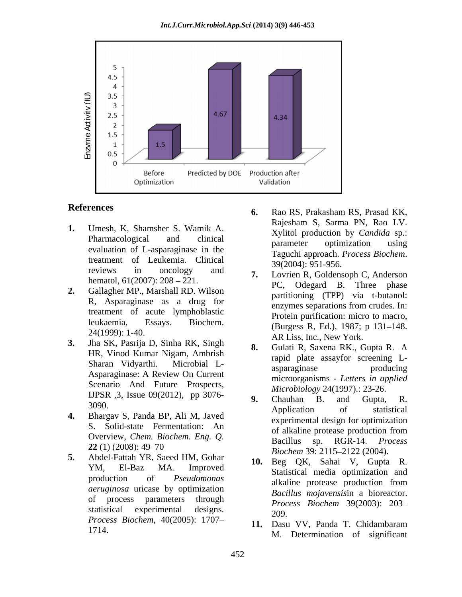

- treatment of Leukemia. Clinical and traged approach. reviews in oncology and  $\sigma$  Lovrian P Goldanson C Anderson hematol,  $61(2007)$ :  $208 - 221$ .
- **2.** Gallagher MP., Marshall RD. Wilson treatment of acute lymphoblastic
- **3.** Jha SK, Pasrija D, Sinha RK, Singh HR, Vinod Kumar Nigam, Ambrish Scenario And Future Prospects, IJPSR ,3, Issue 09(2012), pp 3076-<br> **9.** Chauhan B. and Gupta, R.
- 
- **5.** Abdel-Fattah YR, Saeed HM, Gohar *aeruginosa* uricase by optimization *Process Biochem,* 40(2005): 1707–<br>*Process Biochem,* 40(2005): 1707–<br>**11.** Dasu VV, Panda T, Chidambaram
- **References** 6. Rao RS, Prakasham RS, Prasad KK, **1.** Umesh, K, Shamsher S. Wamik A. **1.** Rajesham S, Sarma PN, Rao LV. Pharmacological and clinical examples extends production by called the pro-Pharmacological and clinical parameter optimization using<br>evaluation of L-asparaginase in the Taguchi approach. Process Biochem. **6.** Rao RS, Prakasham RS, Prasad KK, Rajesham S, Sarma PN, Rao LV. Xylitol production by *Candida* sp.: parameter optimization using Taguchi approach. *Process Biochem*. 39(2004): 951-956.
	- R, Asparaginase as a drug for parationing (111) and contained. leukaemia, Essays. Biochem. (Burgess R, Ed.), 1987; p 131–148.  $24(1999)$ : 1-40.<br>  $\begin{array}{ccc}\n\text{Burgess R, E, S}, & \text{L, D}, & \text{P.} \\
	\text{AR Liss, Inc., New York.}\n\end{array}$ **7.** Lovrien R, Goldensoph C, Anderson PC, Odegard B. Three phase partitioning (TPP) via t-butanol: enzymes separations from crudes. In: Protein purification: micro to macro,
	- Sharan Vidyarthi. Microbial L- Asparaginase: A Review On Current micrographies *Letters* in applied **8.** Gulati R, Saxena RK., Gupta R. A rapid plate assayfor screening L asparaginase producing microorganisms *- Letters in applied Microbiology* 24(1997).: 23-26.
- $3090.$  Application of statistical **4.** Bhargav S, Panda BP, Ali M, Javed S. Solid-state Fermentation: An of alkaline protease production from Overview, *Chem. Biochem. Eng. Q.* **22** (1) (2008): 49–70<br>**Biocham 30**: 2115, 2122 (2004) **9.** Chauhan B. and Gupta, R. Application of statistical experimental design for optimization of alkaline protease production from Bacillus sp. RGR-14. *Biochem* 39: 2115–2122 (2004).
	- YM, El-Baz MA. Improved and the set of the same that the superior and production of *Pseudomonas* alkaline protease production from of process parameters through  $P_{\text{process}}$   $R_{\text{i} \text{other}}$   $30(2003) \cdot 203$ statistical experimental designs.  $\frac{1}{200}$ **10.** Beg QK, Sahai V, Gupta R. Statistical media optimization and alkaline protease production from *Bacillus mojavensis*in a bioreactor. *Process Biochem* 39(2003): 203 209.
	- 1714. **M. Determination of significant 11.** Dasu VV, Panda T, Chidambaram